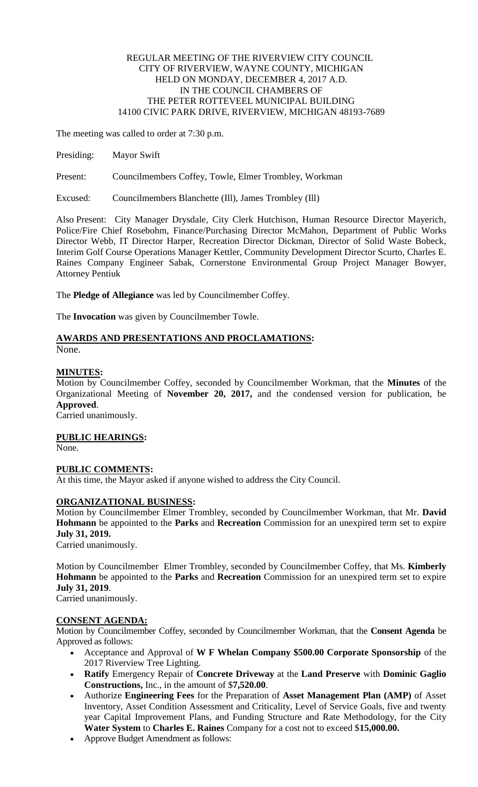# REGULAR MEETING OF THE RIVERVIEW CITY COUNCIL CITY OF RIVERVIEW, WAYNE COUNTY, MICHIGAN HELD ON MONDAY, DECEMBER 4, 2017 A.D. IN THE COUNCIL CHAMBERS OF THE PETER ROTTEVEEL MUNICIPAL BUILDING 14100 CIVIC PARK DRIVE, RIVERVIEW, MICHIGAN 48193-7689

The meeting was called to order at 7:30 p.m.

Presiding: Mayor Swift

Present: Councilmembers Coffey, Towle, Elmer Trombley, Workman

Excused: Councilmembers Blanchette (Ill), James Trombley (Ill)

Also Present: City Manager Drysdale, City Clerk Hutchison, Human Resource Director Mayerich, Police/Fire Chief Rosebohm, Finance/Purchasing Director McMahon, Department of Public Works Director Webb, IT Director Harper, Recreation Director Dickman, Director of Solid Waste Bobeck, Interim Golf Course Operations Manager Kettler, Community Development Director Scurto, Charles E. Raines Company Engineer Sabak, Cornerstone Environmental Group Project Manager Bowyer, Attorney Pentiuk

The **Pledge of Allegiance** was led by Councilmember Coffey.

The **Invocation** was given by Councilmember Towle.

# **AWARDS AND PRESENTATIONS AND PROCLAMATIONS:** None.

# **MINUTES:**

Motion by Councilmember Coffey, seconded by Councilmember Workman, that the **Minutes** of the Organizational Meeting of **November 20, 2017,** and the condensed version for publication, be **Approved**.

Carried unanimously.

## **PUBLIC HEARINGS:**

None.

## **PUBLIC COMMENTS:**

At this time, the Mayor asked if anyone wished to address the City Council.

# **ORGANIZATIONAL BUSINESS:**

Motion by Councilmember Elmer Trombley, seconded by Councilmember Workman, that Mr. **David Hohmann** be appointed to the **Parks** and **Recreation** Commission for an unexpired term set to expire **July 31, 2019.**

Carried unanimously.

Motion by Councilmember Elmer Trombley, seconded by Councilmember Coffey, that Ms. **Kimberly Hohmann** be appointed to the **Parks** and **Recreation** Commission for an unexpired term set to expire **July 31, 2019**.

Carried unanimously.

## **CONSENT AGENDA:**

Motion by Councilmember Coffey, seconded by Councilmember Workman, that the **Consent Agenda** be Approved as follows:

- Acceptance and Approval of **W F Whelan Company \$500.00 Corporate Sponsorship** of the 2017 Riverview Tree Lighting.
- **Ratify** Emergency Repair of **Concrete Driveway** at the **Land Preserve** with **Dominic Gaglio Constructions,** Inc., in the amount of \$**7,520.00**.
- Authorize **Engineering Fees** for the Preparation of **Asset Management Plan (AMP)** of Asset Inventory, Asset Condition Assessment and Criticality, Level of Service Goals, five and twenty year Capital Improvement Plans, and Funding Structure and Rate Methodology, for the City **Water System** to **Charles E. Raines** Company for a cost not to exceed \$**15,000.00.**
- Approve Budget Amendment as follows: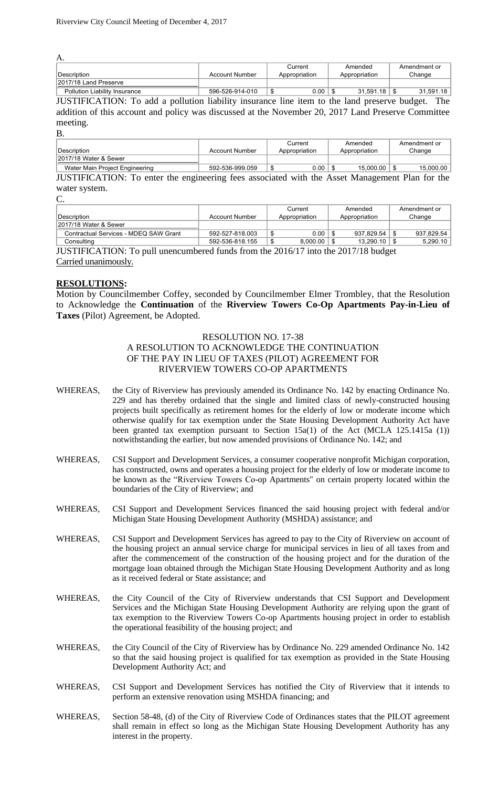| $\mathbf{\Lambda}$                   |                 |               |               |              |  |
|--------------------------------------|-----------------|---------------|---------------|--------------|--|
|                                      |                 | Current       | Amended       | Amendment or |  |
| Description                          | Account Number  | Appropriation | Appropriation | Change       |  |
| 2017/18 Land Preserve                |                 |               |               |              |  |
| <b>Pollution Liability Insurance</b> | 596-526-914-010 | 0.00          | 31.591.18     | 31.591.18    |  |

JUSTIFICATION: To add a pollution liability insurance line item to the land preserve budget. The addition of this account and policy was discussed at the November 20, 2017 Land Preserve Committee meeting.

B.

A.

|                                                                                                |                       | Current       | Amended          | Amendment or |  |
|------------------------------------------------------------------------------------------------|-----------------------|---------------|------------------|--------------|--|
| <sup>I</sup> Description                                                                       | <b>Account Number</b> | Appropriation | Appropriation    | Change       |  |
| 2017/18 Water & Sewer                                                                          |                       |               |                  |              |  |
| Water Main Project Engineering                                                                 | 592-536-999.059       | $0.00$   \$   | $15.000.00$   \$ | 15.000.00    |  |
| JUSTIFICATION: To enter the engineering fees associated with the Asset Management Plan for the |                       |               |                  |              |  |

water system.

| ۰.             | ٥              |  |
|----------------|----------------|--|
| r.<br>٠<br>. . | ۰.<br>۰.<br>۰. |  |

|                                       |                 | Current       | Amended       | Amendment or |
|---------------------------------------|-----------------|---------------|---------------|--------------|
| ∣Description_                         | Account Number  | Appropriation | Appropriation | Change       |
| 2017/18 Water & Sewer                 |                 |               |               |              |
| Contractual Services - MDEQ SAW Grant | 592-527-818.003 | 0.00          | 937.829.54    | 937.829.54   |
| Consulting                            | 592-536-818.155 | 8.000.00      | 13.290.10     | 5,290.10     |

JUSTIFICATION: To pull unencumbered funds from the 2016/17 into the 2017/18 budget Carried unanimously.

# **RESOLUTIONS:**

Motion by Councilmember Coffey, seconded by Councilmember Elmer Trombley, that the Resolution to Acknowledge the **Continuation** of the **Riverview Towers Co-Op Apartments Pay-in-Lieu of Taxes** (Pilot) Agreement, be Adopted.

## RESOLUTION NO. 17-38

# A RESOLUTION TO ACKNOWLEDGE THE CONTINUATION OF THE PAY IN LIEU OF TAXES (PILOT) AGREEMENT FOR RIVERVIEW TOWERS CO-OP APARTMENTS

- WHEREAS, the City of Riverview has previously amended its Ordinance No. 142 by enacting Ordinance No. 229 and has thereby ordained that the single and limited class of newly-constructed housing projects built specifically as retirement homes for the elderly of low or moderate income which otherwise qualify for tax exemption under the State Housing Development Authority Act have been granted tax exemption pursuant to Section  $15a(1)$  of the Act (MCLA 125.1415a (1)) notwithstanding the earlier, but now amended provisions of Ordinance No. 142; and
- WHEREAS, CSI Support and Development Services, a consumer cooperative nonprofit Michigan corporation, has constructed, owns and operates a housing project for the elderly of low or moderate income to be known as the "Riverview Towers Co-op Apartments" on certain property located within the boundaries of the City of Riverview; and
- WHEREAS, CSI Support and Development Services financed the said housing project with federal and/or Michigan State Housing Development Authority (MSHDA) assistance; and
- WHEREAS, CSI Support and Development Services has agreed to pay to the City of Riverview on account of the housing project an annual service charge for municipal services in lieu of all taxes from and after the commencement of the construction of the housing project and for the duration of the mortgage loan obtained through the Michigan State Housing Development Authority and as long as it received federal or State assistance; and
- WHEREAS, the City Council of the City of Riverview understands that CSI Support and Development Services and the Michigan State Housing Development Authority are relying upon the grant of tax exemption to the Riverview Towers Co-op Apartments housing project in order to establish the operational feasibility of the housing project; and
- WHEREAS, the City Council of the City of Riverview has by Ordinance No. 229 amended Ordinance No. 142 so that the said housing project is qualified for tax exemption as provided in the State Housing Development Authority Act; and
- WHEREAS, CSI Support and Development Services has notified the City of Riverview that it intends to perform an extensive renovation using MSHDA financing; and
- WHEREAS, Section 58-48, (d) of the City of Riverview Code of Ordinances states that the PILOT agreement shall remain in effect so long as the Michigan State Housing Development Authority has any interest in the property.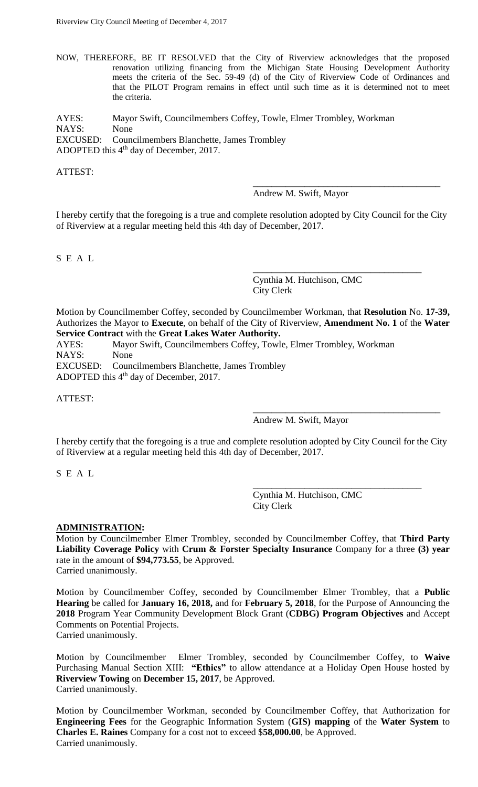NOW, THEREFORE, BE IT RESOLVED that the City of Riverview acknowledges that the proposed renovation utilizing financing from the Michigan State Housing Development Authority meets the criteria of the Sec. 59-49 (d) of the City of Riverview Code of Ordinances and that the PILOT Program remains in effect until such time as it is determined not to meet the criteria.

AYES: Mayor Swift, Councilmembers Coffey, Towle, Elmer Trombley, Workman NAYS: None EXCUSED: Councilmembers Blanchette, James Trombley ADOPTED this  $4<sup>th</sup>$  day of December, 2017.

ATTEST:

Andrew M. Swift, Mayor

\_\_\_\_\_\_\_\_\_\_\_\_\_\_\_\_\_\_\_\_\_\_\_\_\_\_\_\_\_\_\_\_\_\_\_\_\_\_\_\_

\_\_\_\_\_\_\_\_\_\_\_\_\_\_\_\_\_\_\_\_\_\_\_\_\_\_\_\_\_\_\_\_\_\_\_\_

\_\_\_\_\_\_\_\_\_\_\_\_\_\_\_\_\_\_\_\_\_\_\_\_\_\_\_\_\_\_\_\_\_\_\_\_\_\_\_\_

\_\_\_\_\_\_\_\_\_\_\_\_\_\_\_\_\_\_\_\_\_\_\_\_\_\_\_\_\_\_\_\_\_\_\_\_

I hereby certify that the foregoing is a true and complete resolution adopted by City Council for the City of Riverview at a regular meeting held this 4th day of December, 2017.

S E A L

Cynthia M. Hutchison, CMC City Clerk

Motion by Councilmember Coffey, seconded by Councilmember Workman, that **Resolution** No. **17-39,** Authorizes the Mayor to **Execute**, on behalf of the City of Riverview, **Amendment No. 1** of the **Water Service Contract** with the **Great Lakes Water Authority.**

AYES: Mayor Swift, Councilmembers Coffey, Towle, Elmer Trombley, Workman NAYS: None EXCUSED: Councilmembers Blanchette, James Trombley ADOPTED this 4<sup>th</sup> day of December, 2017.

ATTEST:

Andrew M. Swift, Mayor

I hereby certify that the foregoing is a true and complete resolution adopted by City Council for the City of Riverview at a regular meeting held this 4th day of December, 2017.

S E A L

Cynthia M. Hutchison, CMC City Clerk

## **ADMINISTRATION:**

Motion by Councilmember Elmer Trombley, seconded by Councilmember Coffey, that **Third Party Liability Coverage Policy** with **Crum & Forster Specialty Insurance** Company for a three **(3) year** rate in the amount of **\$94,773.55**, be Approved. Carried unanimously.

Motion by Councilmember Coffey, seconded by Councilmember Elmer Trombley, that a **Public Hearing** be called for **January 16, 2018,** and for **February 5, 2018**, for the Purpose of Announcing the **2018** Program Year Community Development Block Grant (**CDBG) Program Objectives** and Accept Comments on Potential Projects.

Carried unanimously.

Motion by Councilmember Elmer Trombley, seconded by Councilmember Coffey, to **Waive** Purchasing Manual Section XIII: **"Ethics"** to allow attendance at a Holiday Open House hosted by **Riverview Towing** on **December 15, 2017**, be Approved. Carried unanimously.

Motion by Councilmember Workman, seconded by Councilmember Coffey, that Authorization for **Engineering Fees** for the Geographic Information System (**GIS) mapping** of the **Water System** to **Charles E. Raines** Company for a cost not to exceed \$**58,000.00**, be Approved. Carried unanimously.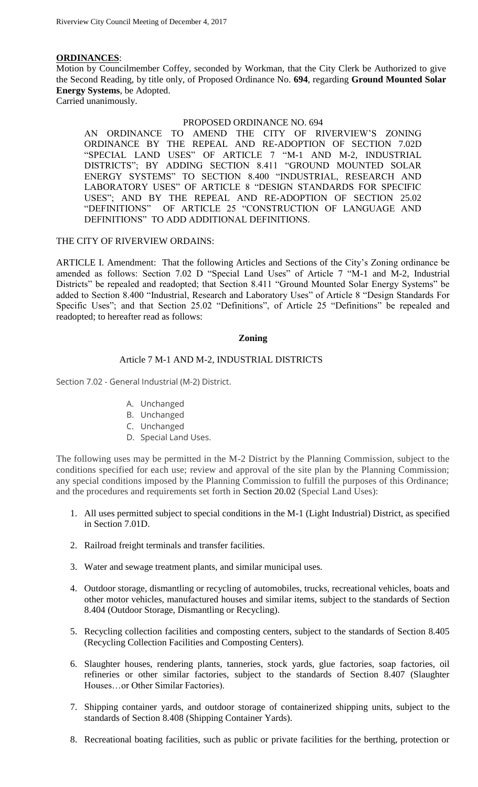# **ORDINANCES**:

Motion by Councilmember Coffey, seconded by Workman, that the City Clerk be Authorized to give the Second Reading, by title only, of Proposed Ordinance No. **694**, regarding **Ground Mounted Solar Energy Systems**, be Adopted. Carried unanimously.

## PROPOSED ORDINANCE NO. 694

AN ORDINANCE TO AMEND THE CITY OF RIVERVIEW'S ZONING ORDINANCE BY THE REPEAL AND RE-ADOPTION OF SECTION 7.02D "SPECIAL LAND USES" OF ARTICLE 7 "M-1 AND M-2, INDUSTRIAL DISTRICTS"; BY ADDING SECTION 8.411 "GROUND MOUNTED SOLAR ENERGY SYSTEMS" TO SECTION 8.400 "INDUSTRIAL, RESEARCH AND LABORATORY USES" OF ARTICLE 8 "DESIGN STANDARDS FOR SPECIFIC USES"; AND BY THE REPEAL AND RE-ADOPTION OF SECTION 25.02 "DEFINITIONS" OF ARTICLE 25 "CONSTRUCTION OF LANGUAGE AND DEFINITIONS" TO ADD ADDITIONAL DEFINITIONS.

## THE CITY OF RIVERVIEW ORDAINS:

ARTICLE I. Amendment: That the following Articles and Sections of the City's Zoning ordinance be amended as follows: Section 7.02 D "Special Land Uses" of Article 7 "M-1 and M-2, Industrial Districts" be repealed and readopted; that Section 8.411 "Ground Mounted Solar Energy Systems" be added to Section 8.400 "Industrial, Research and Laboratory Uses" of Article 8 "Design Standards For Specific Uses"; and that Section 25.02 "Definitions", of Article 25 "Definitions" be repealed and readopted; to hereafter read as follows:

#### **Zoning**

# Article 7 M-1 AND M-2, INDUSTRIAL DISTRICTS

Section 7.02 - General Industrial (M-2) District.

- A. Unchanged
- B. Unchanged
- C. Unchanged
- D. Special Land Uses.

The following uses may be permitted in the M-2 District by the Planning Commission, subject to the conditions specified for each use; review and approval of the site plan by the Planning Commission; any special conditions imposed by the Planning Commission to fulfill the purposes of this Ordinance; and the procedures and requirements set forth in [Section 20.02](https://library.municode.com/mi/riverview/codes/zoning?nodeId=ART20PRST_S20.02SPLAUS) (Special Land Uses):

- 1. All uses permitted subject to special conditions in the M-1 (Light Industrial) District, as specified in Section 7.01D.
- 2. Railroad freight terminals and transfer facilities.
- 3. Water and sewage treatment plants, and similar municipal uses.
- 4. Outdoor storage, dismantling or recycling of automobiles, trucks, recreational vehicles, boats and other motor vehicles, manufactured houses and similar items, subject to the standards of Section 8.404 (Outdoor Storage, Dismantling or Recycling).
- 5. Recycling collection facilities and composting centers, subject to the standards of Section 8.405 (Recycling Collection Facilities and Composting Centers).
- 6. Slaughter houses, rendering plants, tanneries, stock yards, glue factories, soap factories, oil refineries or other similar factories, subject to the standards of Section 8.407 (Slaughter Houses…or Other Similar Factories).
- 7. Shipping container yards, and outdoor storage of containerized shipping units, subject to the standards of Section 8.408 (Shipping Container Yards).
- 8. Recreational boating facilities, such as public or private facilities for the berthing, protection or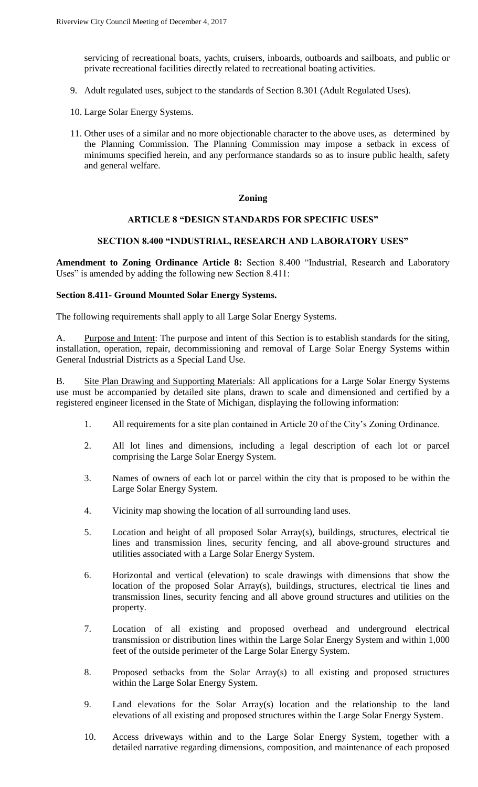servicing of recreational boats, yachts, cruisers, inboards, outboards and sailboats, and public or private recreational facilities directly related to recreational boating activities.

- 9. Adult regulated uses, subject to the standards of Section 8.301 (Adult Regulated Uses).
- 10. Large Solar Energy Systems.
- 11. Other uses of a similar and no more objectionable character to the above uses, as determined by the Planning Commission. The Planning Commission may impose a setback in excess of minimums specified herein, and any performance standards so as to insure public health, safety and general welfare.

## **Zoning**

# **ARTICLE 8 "DESIGN STANDARDS FOR SPECIFIC USES"**

#### **SECTION 8.400 "INDUSTRIAL, RESEARCH AND LABORATORY USES"**

**Amendment to Zoning Ordinance Article 8:** Section 8.400 "Industrial, Research and Laboratory Uses" is amended by adding the following new Section 8.411:

### **Section 8.411- Ground Mounted Solar Energy Systems.**

The following requirements shall apply to all Large Solar Energy Systems.

A. Purpose and Intent: The purpose and intent of this Section is to establish standards for the siting, installation, operation, repair, decommissioning and removal of Large Solar Energy Systems within General Industrial Districts as a Special Land Use.

B. Site Plan Drawing and Supporting Materials: All applications for a Large Solar Energy Systems use must be accompanied by detailed site plans, drawn to scale and dimensioned and certified by a registered engineer licensed in the State of Michigan, displaying the following information:

- 1. All requirements for a site plan contained in Article 20 of the City's Zoning Ordinance.
- 2. All lot lines and dimensions, including a legal description of each lot or parcel comprising the Large Solar Energy System.
- 3. Names of owners of each lot or parcel within the city that is proposed to be within the Large Solar Energy System.
- 4. Vicinity map showing the location of all surrounding land uses.
- 5. Location and height of all proposed Solar Array(s), buildings, structures, electrical tie lines and transmission lines, security fencing, and all above-ground structures and utilities associated with a Large Solar Energy System.
- 6. Horizontal and vertical (elevation) to scale drawings with dimensions that show the location of the proposed Solar Array(s), buildings, structures, electrical tie lines and transmission lines, security fencing and all above ground structures and utilities on the property.
- 7. Location of all existing and proposed overhead and underground electrical transmission or distribution lines within the Large Solar Energy System and within 1,000 feet of the outside perimeter of the Large Solar Energy System.
- 8. Proposed setbacks from the Solar Array(s) to all existing and proposed structures within the Large Solar Energy System.
- 9. Land elevations for the Solar Array(s) location and the relationship to the land elevations of all existing and proposed structures within the Large Solar Energy System.
- 10. Access driveways within and to the Large Solar Energy System, together with a detailed narrative regarding dimensions, composition, and maintenance of each proposed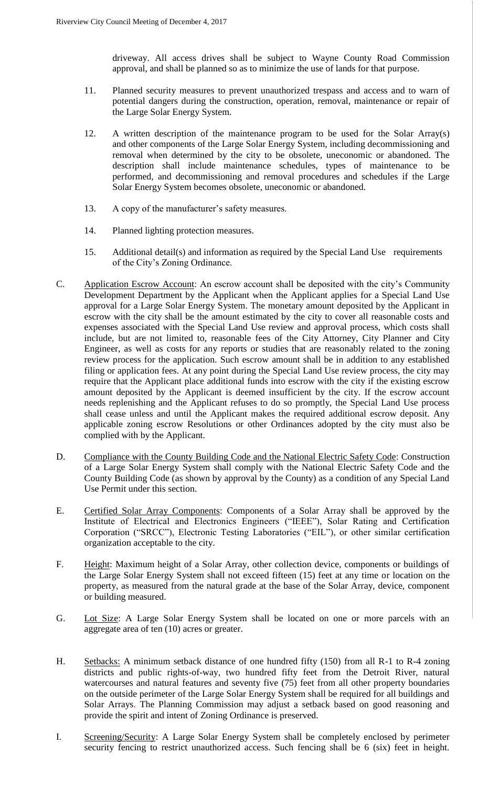driveway. All access drives shall be subject to Wayne County Road Commission approval, and shall be planned so as to minimize the use of lands for that purpose.

- 11. Planned security measures to prevent unauthorized trespass and access and to warn of potential dangers during the construction, operation, removal, maintenance or repair of the Large Solar Energy System.
- 12. A written description of the maintenance program to be used for the Solar Array(s) and other components of the Large Solar Energy System, including decommissioning and removal when determined by the city to be obsolete, uneconomic or abandoned. The description shall include maintenance schedules, types of maintenance to be performed, and decommissioning and removal procedures and schedules if the Large Solar Energy System becomes obsolete, uneconomic or abandoned.
- 13. A copy of the manufacturer's safety measures.
- 14. Planned lighting protection measures.
- 15. Additional detail(s) and information as required by the Special Land Use requirements of the City's Zoning Ordinance.
- C. Application Escrow Account: An escrow account shall be deposited with the city's Community Development Department by the Applicant when the Applicant applies for a Special Land Use approval for a Large Solar Energy System. The monetary amount deposited by the Applicant in escrow with the city shall be the amount estimated by the city to cover all reasonable costs and expenses associated with the Special Land Use review and approval process, which costs shall include, but are not limited to, reasonable fees of the City Attorney, City Planner and City Engineer, as well as costs for any reports or studies that are reasonably related to the zoning review process for the application. Such escrow amount shall be in addition to any established filing or application fees. At any point during the Special Land Use review process, the city may require that the Applicant place additional funds into escrow with the city if the existing escrow amount deposited by the Applicant is deemed insufficient by the city. If the escrow account needs replenishing and the Applicant refuses to do so promptly, the Special Land Use process shall cease unless and until the Applicant makes the required additional escrow deposit. Any applicable zoning escrow Resolutions or other Ordinances adopted by the city must also be complied with by the Applicant.
- D. Compliance with the County Building Code and the National Electric Safety Code: Construction of a Large Solar Energy System shall comply with the National Electric Safety Code and the County Building Code (as shown by approval by the County) as a condition of any Special Land Use Permit under this section.
- E. Certified Solar Array Components: Components of a Solar Array shall be approved by the Institute of Electrical and Electronics Engineers ("IEEE"), Solar Rating and Certification Corporation ("SRCC"), Electronic Testing Laboratories ("EIL"), or other similar certification organization acceptable to the city.
- F. Height: Maximum height of a Solar Array, other collection device, components or buildings of the Large Solar Energy System shall not exceed fifteen (15) feet at any time or location on the property, as measured from the natural grade at the base of the Solar Array, device, component or building measured.
- G. Lot Size: A Large Solar Energy System shall be located on one or more parcels with an aggregate area of ten (10) acres or greater.
- H. Setbacks: A minimum setback distance of one hundred fifty (150) from all R-1 to R-4 zoning districts and public rights-of-way, two hundred fifty feet from the Detroit River, natural watercourses and natural features and seventy five (75) feet from all other property boundaries on the outside perimeter of the Large Solar Energy System shall be required for all buildings and Solar Arrays. The Planning Commission may adjust a setback based on good reasoning and provide the spirit and intent of Zoning Ordinance is preserved.
- I. Screening/Security: A Large Solar Energy System shall be completely enclosed by perimeter security fencing to restrict unauthorized access. Such fencing shall be 6 (six) feet in height.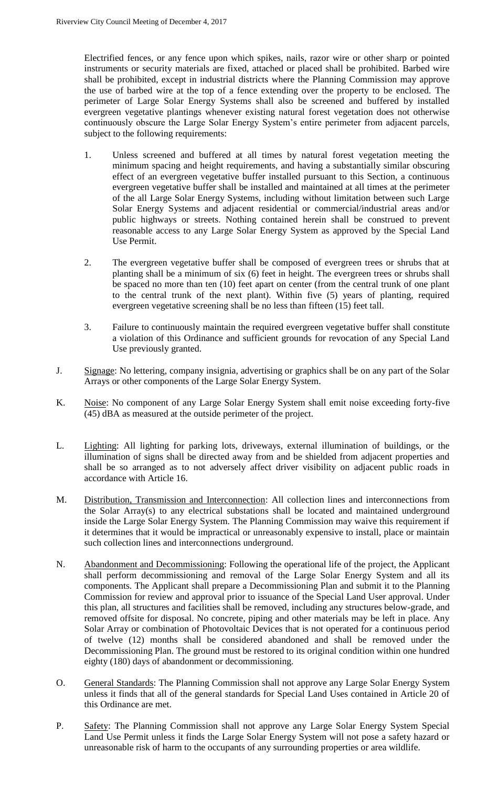Electrified fences, or any fence upon which spikes, nails, razor wire or other sharp or pointed instruments or security materials are fixed, attached or placed shall be prohibited. Barbed wire shall be prohibited, except in industrial districts where the Planning Commission may approve the use of barbed wire at the top of a fence extending over the property to be enclosed. The perimeter of Large Solar Energy Systems shall also be screened and buffered by installed evergreen vegetative plantings whenever existing natural forest vegetation does not otherwise continuously obscure the Large Solar Energy System's entire perimeter from adjacent parcels, subject to the following requirements:

- 1. Unless screened and buffered at all times by natural forest vegetation meeting the minimum spacing and height requirements, and having a substantially similar obscuring effect of an evergreen vegetative buffer installed pursuant to this Section, a continuous evergreen vegetative buffer shall be installed and maintained at all times at the perimeter of the all Large Solar Energy Systems, including without limitation between such Large Solar Energy Systems and adjacent residential or commercial/industrial areas and/or public highways or streets. Nothing contained herein shall be construed to prevent reasonable access to any Large Solar Energy System as approved by the Special Land Use Permit.
- 2. The evergreen vegetative buffer shall be composed of evergreen trees or shrubs that at planting shall be a minimum of six (6) feet in height. The evergreen trees or shrubs shall be spaced no more than ten (10) feet apart on center (from the central trunk of one plant to the central trunk of the next plant). Within five (5) years of planting, required evergreen vegetative screening shall be no less than fifteen (15) feet tall.
- 3. Failure to continuously maintain the required evergreen vegetative buffer shall constitute a violation of this Ordinance and sufficient grounds for revocation of any Special Land Use previously granted.
- J. Signage: No lettering, company insignia, advertising or graphics shall be on any part of the Solar Arrays or other components of the Large Solar Energy System.
- K. Noise: No component of any Large Solar Energy System shall emit noise exceeding forty-five (45) dBA as measured at the outside perimeter of the project.
- L. Lighting: All lighting for parking lots, driveways, external illumination of buildings, or the illumination of signs shall be directed away from and be shielded from adjacent properties and shall be so arranged as to not adversely affect driver visibility on adjacent public roads in accordance with Article 16.
- M. Distribution, Transmission and Interconnection: All collection lines and interconnections from the Solar Array(s) to any electrical substations shall be located and maintained underground inside the Large Solar Energy System. The Planning Commission may waive this requirement if it determines that it would be impractical or unreasonably expensive to install, place or maintain such collection lines and interconnections underground.
- N. Abandonment and Decommissioning: Following the operational life of the project, the Applicant shall perform decommissioning and removal of the Large Solar Energy System and all its components. The Applicant shall prepare a Decommissioning Plan and submit it to the Planning Commission for review and approval prior to issuance of the Special Land User approval. Under this plan, all structures and facilities shall be removed, including any structures below-grade, and removed offsite for disposal. No concrete, piping and other materials may be left in place. Any Solar Array or combination of Photovoltaic Devices that is not operated for a continuous period of twelve (12) months shall be considered abandoned and shall be removed under the Decommissioning Plan. The ground must be restored to its original condition within one hundred eighty (180) days of abandonment or decommissioning.
- O. General Standards: The Planning Commission shall not approve any Large Solar Energy System unless it finds that all of the general standards for Special Land Uses contained in Article 20 of this Ordinance are met.
- P. Safety: The Planning Commission shall not approve any Large Solar Energy System Special Land Use Permit unless it finds the Large Solar Energy System will not pose a safety hazard or unreasonable risk of harm to the occupants of any surrounding properties or area wildlife.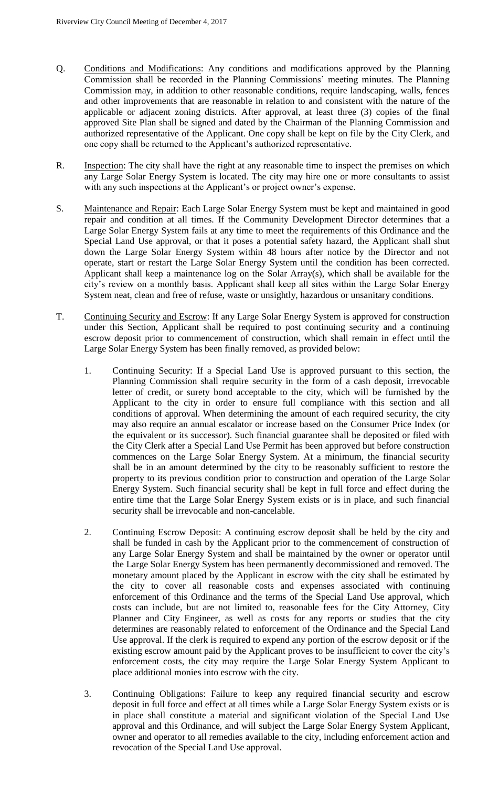- Q. Conditions and Modifications: Any conditions and modifications approved by the Planning Commission shall be recorded in the Planning Commissions' meeting minutes. The Planning Commission may, in addition to other reasonable conditions, require landscaping, walls, fences and other improvements that are reasonable in relation to and consistent with the nature of the applicable or adjacent zoning districts. After approval, at least three (3) copies of the final approved Site Plan shall be signed and dated by the Chairman of the Planning Commission and authorized representative of the Applicant. One copy shall be kept on file by the City Clerk, and one copy shall be returned to the Applicant's authorized representative.
- R. Inspection: The city shall have the right at any reasonable time to inspect the premises on which any Large Solar Energy System is located. The city may hire one or more consultants to assist with any such inspections at the Applicant's or project owner's expense.
- S. Maintenance and Repair: Each Large Solar Energy System must be kept and maintained in good repair and condition at all times. If the Community Development Director determines that a Large Solar Energy System fails at any time to meet the requirements of this Ordinance and the Special Land Use approval, or that it poses a potential safety hazard, the Applicant shall shut down the Large Solar Energy System within 48 hours after notice by the Director and not operate, start or restart the Large Solar Energy System until the condition has been corrected. Applicant shall keep a maintenance log on the Solar Array(s), which shall be available for the city's review on a monthly basis. Applicant shall keep all sites within the Large Solar Energy System neat, clean and free of refuse, waste or unsightly, hazardous or unsanitary conditions.
- T. Continuing Security and Escrow: If any Large Solar Energy System is approved for construction under this Section, Applicant shall be required to post continuing security and a continuing escrow deposit prior to commencement of construction, which shall remain in effect until the Large Solar Energy System has been finally removed, as provided below:
	- 1. Continuing Security: If a Special Land Use is approved pursuant to this section, the Planning Commission shall require security in the form of a cash deposit, irrevocable letter of credit, or surety bond acceptable to the city, which will be furnished by the Applicant to the city in order to ensure full compliance with this section and all conditions of approval. When determining the amount of each required security, the city may also require an annual escalator or increase based on the Consumer Price Index (or the equivalent or its successor). Such financial guarantee shall be deposited or filed with the City Clerk after a Special Land Use Permit has been approved but before construction commences on the Large Solar Energy System. At a minimum, the financial security shall be in an amount determined by the city to be reasonably sufficient to restore the property to its previous condition prior to construction and operation of the Large Solar Energy System. Such financial security shall be kept in full force and effect during the entire time that the Large Solar Energy System exists or is in place, and such financial security shall be irrevocable and non-cancelable.
	- 2. Continuing Escrow Deposit: A continuing escrow deposit shall be held by the city and shall be funded in cash by the Applicant prior to the commencement of construction of any Large Solar Energy System and shall be maintained by the owner or operator until the Large Solar Energy System has been permanently decommissioned and removed. The monetary amount placed by the Applicant in escrow with the city shall be estimated by the city to cover all reasonable costs and expenses associated with continuing enforcement of this Ordinance and the terms of the Special Land Use approval, which costs can include, but are not limited to, reasonable fees for the City Attorney, City Planner and City Engineer, as well as costs for any reports or studies that the city determines are reasonably related to enforcement of the Ordinance and the Special Land Use approval. If the clerk is required to expend any portion of the escrow deposit or if the existing escrow amount paid by the Applicant proves to be insufficient to cover the city's enforcement costs, the city may require the Large Solar Energy System Applicant to place additional monies into escrow with the city.
	- 3. Continuing Obligations: Failure to keep any required financial security and escrow deposit in full force and effect at all times while a Large Solar Energy System exists or is in place shall constitute a material and significant violation of the Special Land Use approval and this Ordinance, and will subject the Large Solar Energy System Applicant, owner and operator to all remedies available to the city, including enforcement action and revocation of the Special Land Use approval.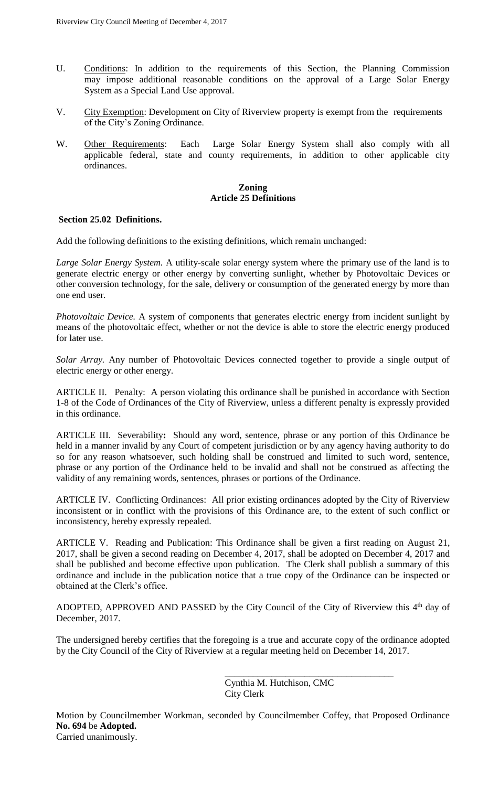- U. Conditions: In addition to the requirements of this Section, the Planning Commission may impose additional reasonable conditions on the approval of a Large Solar Energy System as a Special Land Use approval.
- V. City Exemption: Development on City of Riverview property is exempt from the requirements of the City's Zoning Ordinance.
- W. Other Requirements: Each Large Solar Energy System shall also comply with all applicable federal, state and county requirements, in addition to other applicable city ordinances.

# **Zoning Article 25 Definitions**

# **Section 25.02 Definitions.**

Add the following definitions to the existing definitions, which remain unchanged:

*Large Solar Energy System.* A utility-scale solar energy system where the primary use of the land is to generate electric energy or other energy by converting sunlight, whether by Photovoltaic Devices or other conversion technology, for the sale, delivery or consumption of the generated energy by more than one end user.

*Photovoltaic Device.* A system of components that generates electric energy from incident sunlight by means of the photovoltaic effect, whether or not the device is able to store the electric energy produced for later use.

*Solar Array.* Any number of Photovoltaic Devices connected together to provide a single output of electric energy or other energy.

ARTICLE II. Penalty: A person violating this ordinance shall be punished in accordance with Section 1-8 of the Code of Ordinances of the City of Riverview, unless a different penalty is expressly provided in this ordinance.

ARTICLE III. Severability**:** Should any word, sentence, phrase or any portion of this Ordinance be held in a manner invalid by any Court of competent jurisdiction or by any agency having authority to do so for any reason whatsoever, such holding shall be construed and limited to such word, sentence, phrase or any portion of the Ordinance held to be invalid and shall not be construed as affecting the validity of any remaining words, sentences, phrases or portions of the Ordinance.

ARTICLE IV. Conflicting Ordinances: All prior existing ordinances adopted by the City of Riverview inconsistent or in conflict with the provisions of this Ordinance are, to the extent of such conflict or inconsistency, hereby expressly repealed.

ARTICLE V. Reading and Publication: This Ordinance shall be given a first reading on August 21, 2017, shall be given a second reading on December 4, 2017, shall be adopted on December 4, 2017 and shall be published and become effective upon publication. The Clerk shall publish a summary of this ordinance and include in the publication notice that a true copy of the Ordinance can be inspected or obtained at the Clerk's office.

ADOPTED, APPROVED AND PASSED by the City Council of the City of Riverview this  $4<sup>th</sup>$  day of December, 2017.

The undersigned hereby certifies that the foregoing is a true and accurate copy of the ordinance adopted by the City Council of the City of Riverview at a regular meeting held on December 14, 2017.

> Cynthia M. Hutchison, CMC City Clerk

\_\_\_\_\_\_\_\_\_\_\_\_\_\_\_\_\_\_\_\_\_\_\_\_\_\_\_\_\_\_\_\_\_\_\_\_

Motion by Councilmember Workman, seconded by Councilmember Coffey, that Proposed Ordinance **No. 694** be **Adopted.**

Carried unanimously.